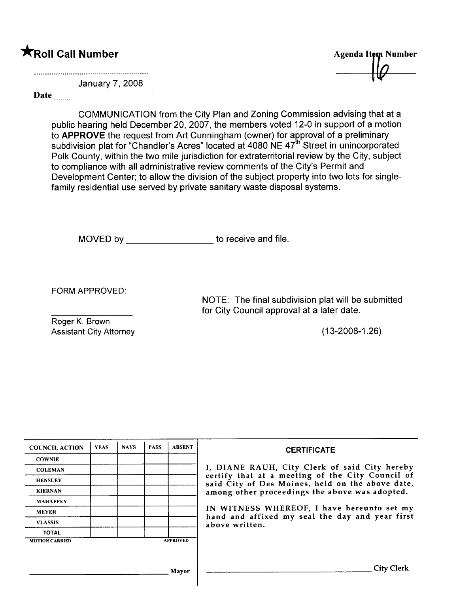# \*Roll Call Number

Agenda Item Number

January 7, 2008

#### Date head of the same of the same of the same of the same of the same of the same of the same of the same of the same of the same of the same of the same of the same of the same of the same of the same of the same of the s

COMMUNICATION from the City Plan and Zoning Commission advising that at a public hearing held December 20,2007, the members voted 12-0 in support of a motion to APPROVE the request from Art Cunningham (owner) for approval of a preliminary subdivision plat for "Chandler's Acres" located at 4080 NE 47<sup>th</sup> Street in unincorporated Polk County, within the two mile jurisdiction for extraterritorial review by the City, subject to compliance with all administrative review comments of the City's Permit and Development Center; to allow the division of the subject property into two lots for singlefamily residential use served by private sanitary waste disposal systems.

MOVED by \_\_\_\_\_\_\_\_\_\_\_\_\_\_\_\_\_\_\_\_ to receive and file.

FORM APPROVED:

Roger K. Brown Assistant City Attorney (13-2008-1.26)

NOTE: The final subdivision plat will be submitted for City Council approval at a later date.

| <b>COUNCIL ACTION</b> | <b>YEAS</b> | <b>NAYS</b> | <b>PASS</b> | <b>ABSENT</b>   | <b>CERTIFICATE</b>                                                                                   |
|-----------------------|-------------|-------------|-------------|-----------------|------------------------------------------------------------------------------------------------------|
| <b>COWNIE</b>         |             |             |             |                 |                                                                                                      |
| <b>COLEMAN</b>        |             |             |             |                 | I, DIANE RAUH, City Clerk of said City hereby                                                        |
| <b>HENSLEY</b>        |             |             |             |                 | certify that at a meeting of the City Council of<br>said City of Des Moines, held on the above date, |
| <b>KIERNAN</b>        |             |             |             |                 | among other proceedings the above was adopted.                                                       |
| <b>MAHAFFEY</b>       |             |             |             |                 |                                                                                                      |
| <b>MEYER</b>          |             |             |             |                 | IN WITNESS WHEREOF, I have hereunto set my<br>hand and affixed my seal the day and year first        |
| <b>VLASSIS</b>        |             |             |             |                 | above written.                                                                                       |
| <b>TOTAL</b>          |             |             |             |                 |                                                                                                      |
| <b>MOTION CARRIED</b> |             |             |             | <b>APPROVED</b> |                                                                                                      |
|                       |             |             |             |                 |                                                                                                      |
|                       |             |             |             | Mayor           | <b>City Clerk</b>                                                                                    |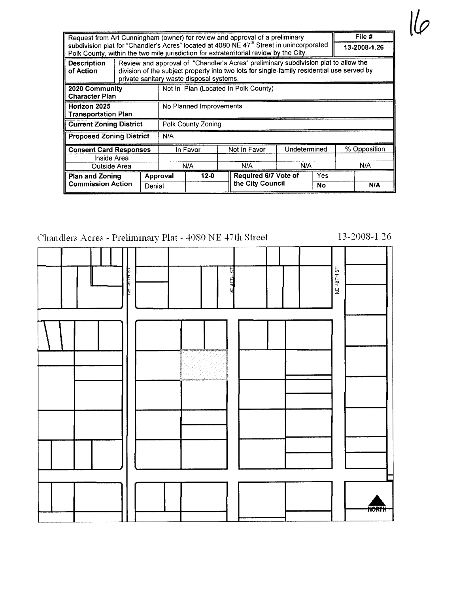| Request from Art Cunningham (owner) for review and approval of a preliminary                         |                                                                                                                                                                                                                               |                                      |              |                      |                  | File #       |              |     |     |
|------------------------------------------------------------------------------------------------------|-------------------------------------------------------------------------------------------------------------------------------------------------------------------------------------------------------------------------------|--------------------------------------|--------------|----------------------|------------------|--------------|--------------|-----|-----|
| subdivision plat for "Chandler's Acres" located at 4080 NE 47 <sup>th</sup> Street in unincorporated |                                                                                                                                                                                                                               |                                      |              |                      |                  | 13-2008-1.26 |              |     |     |
| Polk County, within the two mile jurisdiction for extraterritorial review by the City.               |                                                                                                                                                                                                                               |                                      |              |                      |                  |              |              |     |     |
| <b>Description</b><br>of Action                                                                      | Review and approval of "Chandler's Acres" preliminary subdivision plat to allow the<br>division of the subject property into two lots for single-family residential use served by<br>private sanitary waste disposal systems. |                                      |              |                      |                  |              |              |     |     |
| 2020 Community<br><b>Character Plan</b>                                                              |                                                                                                                                                                                                                               | Not In Plan (Located In Polk County) |              |                      |                  |              |              |     |     |
| Horizon 2025                                                                                         | No Planned Improvements                                                                                                                                                                                                       |                                      |              |                      |                  |              |              |     |     |
| <b>Transportation Plan</b>                                                                           |                                                                                                                                                                                                                               |                                      |              |                      |                  |              |              |     |     |
| <b>Current Zoning District</b>                                                                       | Polk County Zoning                                                                                                                                                                                                            |                                      |              |                      |                  |              |              |     |     |
| <b>Proposed Zoning District</b>                                                                      | N/A                                                                                                                                                                                                                           |                                      |              |                      |                  |              |              |     |     |
| <b>Consent Card Responses</b>                                                                        | In Favor                                                                                                                                                                                                                      |                                      | Not In Favor |                      | Undetermined     |              | % Opposition |     |     |
| Inside Area                                                                                          |                                                                                                                                                                                                                               |                                      |              |                      |                  |              |              |     |     |
| Outside Area                                                                                         |                                                                                                                                                                                                                               | N/A                                  |              |                      | N/A              | N/A          |              | N/A |     |
| <b>Plan and Zoning</b>                                                                               |                                                                                                                                                                                                                               | $12 - 0$<br>Approval                 |              | Required 6/7 Vote of |                  |              | Yes          |     |     |
| <b>Commission Action</b>                                                                             | Denial                                                                                                                                                                                                                        |                                      |              |                      | the City Council |              | No           |     | N/A |

## Chandlers Acres - Preliminary Plat - 4080 NE 47th Street

13-2008-1.26

 $\frac{1}{\varphi}$ 

| LE HILL<br>161104<br>분<br>ų                                                                                                          | NE 48TH ST   |
|--------------------------------------------------------------------------------------------------------------------------------------|--------------|
| <b>Andrew Communication</b><br>a<br><mark>salasamalana</mark> ana kaominina mpikambana amin'ny fivondronan-kaominin'i <mark>G</mark> |              |
|                                                                                                                                      |              |
|                                                                                                                                      | <b>NORTH</b> |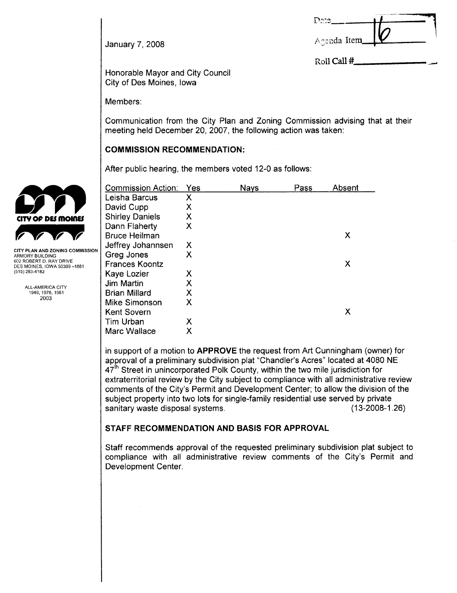| 3272        |  |
|-------------|--|
| Agenda Item |  |

Roll Call #

January 7, 2008

Honorable Mayor and City Council City of Des Moines, Iowa

Members:

Communication from the City Plan and Zoning Commission advising that at their meeting held December 20,2007, the following action was taken:

#### COMMISSION RECOMMENDATION:

After public hearing, the members voted 12-0 as follows:

|                                                        | <b>Commission Action:</b> | <b>Yes</b> | <b>Nays</b> | Pass | Absent |
|--------------------------------------------------------|---------------------------|------------|-------------|------|--------|
|                                                        | Leisha Barcus             | Χ          |             |      |        |
|                                                        | David Cupp                | Χ          |             |      |        |
| <b>CITY OF DES MOINES</b>                              | <b>Shirley Daniels</b>    | Χ          |             |      |        |
|                                                        | Dann Flaherty             | X          |             |      |        |
|                                                        | <b>Bruce Heilman</b>      |            |             |      | X      |
|                                                        | Jeffrey Johannsen         | Χ          |             |      |        |
| CITY PLAN AND ZONING COMMISSION<br>ARMORY BUILDING     | Greg Jones                | X          |             |      |        |
| 602 ROBERT D. RAY DRIVE<br>DES MOINES, IOWA 50309-1881 | <b>Frances Koontz</b>     |            |             |      | Χ      |
| (515) 283-4182                                         | Kaye Lozier               | Х          |             |      |        |
| <b>ALL-AMERICA CITY</b>                                | Jim Martin                | Х          |             |      |        |
| 1949, 1976, 1981                                       | <b>Brian Millard</b>      | Χ          |             |      |        |
| 2003                                                   | Mike Simonson             | Χ          |             |      |        |
|                                                        | Kent Sovern               |            |             |      | X      |
|                                                        | Tim Urban                 | Χ          |             |      |        |
|                                                        | Marc Wallace              | Χ          |             |      |        |
|                                                        |                           |            |             |      |        |

in support of a motion to APPROVE the request from Art Cunningham (owner) for approval of a preliminary subdivision plat "Chandler's Acres" located at 4080 NE  $47<sup>th</sup>$  Street in unincorporated Polk County, within the two mile jurisdiction for extraterritorial review by the City subject to compliance with all administrative review comments of the City's Permit and Development Center; to allow the division of the subject property into two lots for single-family residential use served by private sanitary waste disposal systems.

#### STAFF RECOMMENDATION AND BASIS FOR APPROVAL

Staff recommends approval of the requested preliminary subdivision plat subject to compliance with all administrative review comments of the City's Permit and Development Center.

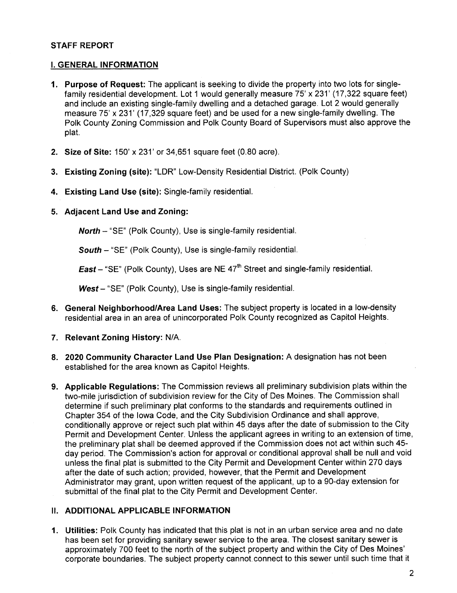#### STAFF REPORT

#### i. GENERAL INFORMATION

- 1. Purpose of Request: The applicant is seeking to divide the property into two lots for singlefamily residential development. Lot 1 would generally measure 75' x 231' (17,322 square feet) and include an existing single-family dwelling and a detached garage. Lot 2 would generally measure 75' x 231' (17,329 square feet) and be used for a new single-family dwelling. The Polk County Zoning Commission and Polk County Board of Supervisors must also approve the plat.
- 2. Size of Site: 150' x 231' or 34,651 square feet (0.80 acre).
- 3. Existing Zoning (site): "LDR" Low-Density Residential District. (Polk County)
- 4. Existing Land Use (site): Single-family residentiaL.
- 5. Adjacent Land Use and Zoning:

North - "SE" (Polk County), Use is single-family residential.

South - "SE" (Polk County), Use is single-family residential.

**East** – "SE" (Polk County), Uses are NE  $47<sup>th</sup>$  Street and single-family residential.

 $West - "SE"$  (Polk County), Use is single-family residential.

- 6. General Neighborhood/Area Land Uses: The subject property is located in a low-density residential area in an area of unincorporated Polk County recognized as Capitol Heights.
- 7. Relevant Zoning History: N/A.
- 8. 2020 Community Character Land Use Plan Designation: A designation has not been established for the area known as Capitol Heights.
- 9. Applicable Regulations: The Commission reviews all preliminary subdivision plats within the two-mile jurisdiction of subdivision review for the City of Des Moines. The Commission shall determine if such preliminary plat conforms to the standards and requirements outlined in Chapter 354 of the Iowa Code, and the City Subdivision Ordinance and shall approve, conditionally approve or reject such plat within 45 days after the date of submission to the City Permit and Development Center. Unless the applicant agrees in writing to an extension of time, the preliminary plat shall be deemed approved if the Commission does not act within such 45 day period. The Commission's action for approval or conditional approval shall be null and void unless the final plat is submitted to the City Permit and Development Center within 270 days after the date of such action; provided, however, that the Permit and Development Administrator may grant, upon written request of the applicant, up to a 90-day extension for submittal of the final plat to the City Permit and Development Center.

#### II. ADDITIONAL APPLICABLE INFORMATION

1. Utilities: Polk County has indicated that this plat is not in an urban service area and no date has been set for providing sanitary sewer service to the area. The closest sanitary sewer is approximately 700 feet to the north of the subject property and within the City of Des Moines' corporate boundaries. The subject property cannot connect to this sewer until such time that it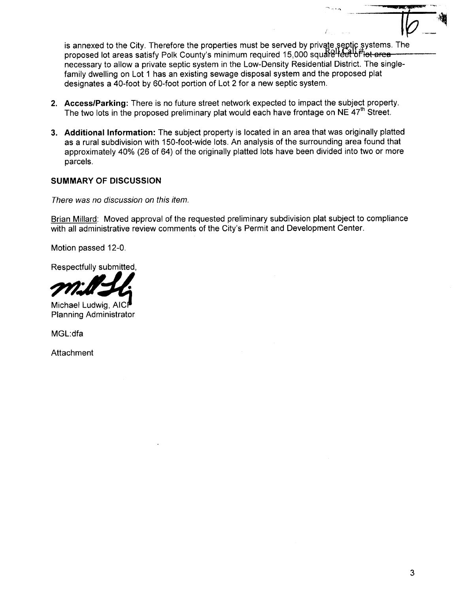is annexed to the City. Therefore the properties must be served by private septic systems. The proposed lot areas satisfy Polk County's minimum required 15,000 square learning area necessary to allow a private septic system in the Low-Density Residential District. The singlefamily dwelling on Lot 1 has an existing sewage disposal system and the proposed plat designates a 40-foot by 60-foot portion of Lot 2 for a new septic system.

- 2. Access/Parking: There is no future street network expected to impact the subject property. The two lots in the proposed preliminary plat would each have frontage on NE  $47<sup>th</sup>$  Street.
- 3. Additional Information: The subject property is located in an area that was originally platted as a rural subdivision with 150-foot-wide lots. An analysis of the surrounding area found that approximately 40% (26 of 64) of the originally platted lots have been divided into two or more parcels.

#### SUMMARY OF DISCUSSION

There was no discussion on this item.

Brian Millard: Moved approval of the requested preliminary subdivision plat subject to compliance with all administrative review comments of the City's Permit and Development Center.

Motion passed 12-0.

Respectfully submitted,



Michael Ludwig, AICP Planning Administrator

MGL:dfa

Attachment

 $i\nu -$ 

 $\sim$   $-$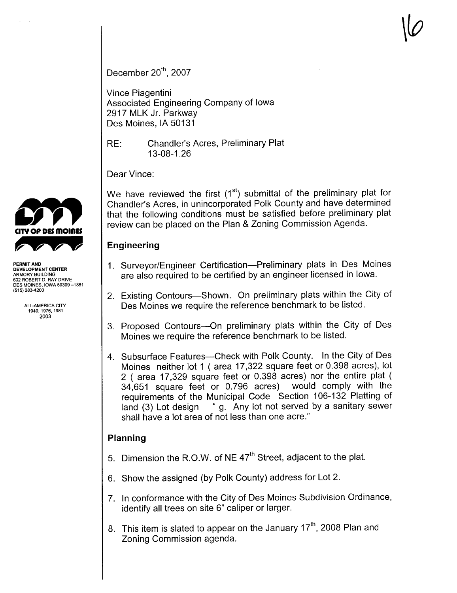December  $20<sup>th</sup>$ , 2007

Vince Piagentini Associated Engineering Company of Iowa 2917 MLK Jr. Parkway Des Moines, IA 50131

RE: Chandler's Acres, Preliminary Plat 13-08-1 .26

Dear Vince:

We have reviewed the first  $(1<sup>st</sup>)$  submittal of the preliminary plat for Chandler's Acres, in unincorporated Polk County and have determined that the following conditions must be satisfied before preliminary plat review can be placed on the Plan & Zoning Commission Agenda.

## Engineering

- 1. Surveyor/Engineer Certification-Preliminary plats in Des Moines are also required to be certified by an engineer licensed in Iowa.
- 2. Existing Contours—Shown. On preliminary plats within the City of Des Moines we require the reference benchmark to be listed.
- 3. Proposed Contours-On preliminary plats within the City of Des Moines we require the reference benchmark to be listed.
- 4. Subsurface Features-Check with Polk County. In the City of Des Moines neither lot 1 ( area 17,322 square feet or 0.398 acres), lot 2 ( area 17,329 square feet or 0.398 acres) nor the entire plat ( 34,651 square feet or 0.796 acres) would comply with the requirements of the Municipal Code Section 106-132 Platting of land (3) Lot design "g. Any lot not served by a sanitary sewer shall have a lot area of not less than one acre."

### Planning

- 5. Dimension the R.O.W. of NE  $47<sup>th</sup>$  Street, adjacent to the plat.
- 6. Show the assigned (by Polk County) address for Lot 2.
- 7. In conformance with the City of Des Moines Subdivision Ordinance, identify all trees on site 6" caliper or larger.
- 8. This item is slated to appear on the January  $17<sup>th</sup>$ , 2008 Plan and Zoning Commission agenda.



DEVELOPMENT CENTER ARMORY BUILDING 602 ROBERT D. RAY DRIVE DES MOINES, IOWA 50309 -1881 (515) 283-4200

> ALL-AMERICA CITY 1949,1976.1981 2003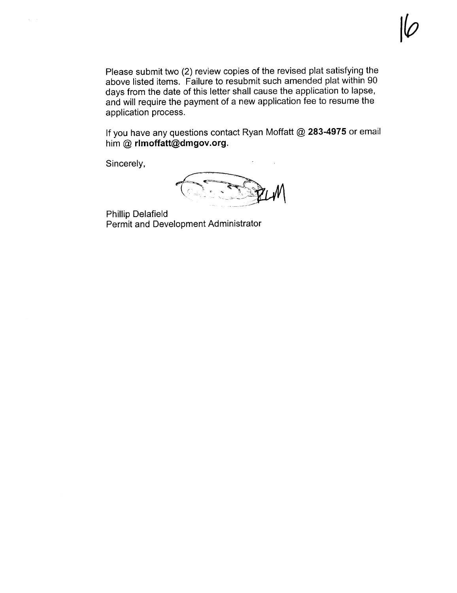Please submit two (2) review copies of the revised plat satisfying the above listed items. Failure to resubmit such amended plat within 90 days from the date of this letter shall cause the application to lapse, and will require the payment of a new application fee to resume the application process.

If you have any questions contact Ryan Moffatt  $@$  283-4975 or email him  $@$  rlmoffatt $@$ dmgov.org.

Sincerely,

Phillip Delafield Permit and Development Administrator